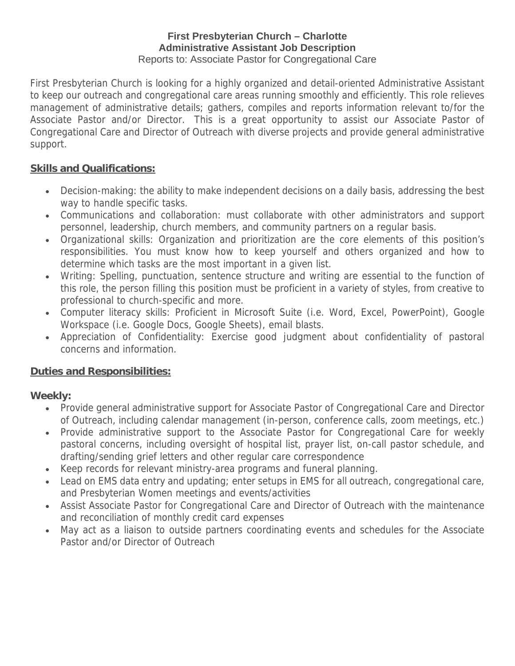#### **First Presbyterian Church – Charlotte Administrative Assistant Job Description** Reports to: Associate Pastor for Congregational Care

First Presbyterian Church is looking for a highly organized and detail-oriented Administrative Assistant to keep our outreach and congregational care areas running smoothly and efficiently. This role relieves management of administrative details; gathers, compiles and reports information relevant to/for the Associate Pastor and/or Director. This is a great opportunity to assist our Associate Pastor of Congregational Care and Director of Outreach with diverse projects and provide general administrative support.

## **Skills and Qualifications:**

- Decision-making: the ability to make independent decisions on a daily basis, addressing the best way to handle specific tasks.
- Communications and collaboration: must collaborate with other administrators and support personnel, leadership, church members, and community partners on a regular basis.
- Organizational skills: Organization and prioritization are the core elements of this position's responsibilities. You must know how to keep yourself and others organized and how to determine which tasks are the most important in a given list.
- Writing: Spelling, punctuation, sentence structure and writing are essential to the function of this role, the person filling this position must be proficient in a variety of styles, from creative to professional to church-specific and more.
- Computer literacy skills: Proficient in Microsoft Suite (i.e. Word, Excel, PowerPoint), Google Workspace (i.e. Google Docs, Google Sheets), email blasts.
- Appreciation of Confidentiality: Exercise good judgment about confidentiality of pastoral concerns and information.

# **Duties and Responsibilities:**

# **Weekly:**

- Provide general administrative support for Associate Pastor of Congregational Care and Director of Outreach, including calendar management (in-person, conference calls, zoom meetings, etc.)
- Provide administrative support to the Associate Pastor for Congregational Care for weekly pastoral concerns, including oversight of hospital list, prayer list, on-call pastor schedule, and drafting/sending grief letters and other regular care correspondence
- Keep records for relevant ministry-area programs and funeral planning.
- Lead on EMS data entry and updating; enter setups in EMS for all outreach, congregational care, and Presbyterian Women meetings and events/activities
- Assist Associate Pastor for Congregational Care and Director of Outreach with the maintenance and reconciliation of monthly credit card expenses
- May act as a liaison to outside partners coordinating events and schedules for the Associate Pastor and/or Director of Outreach